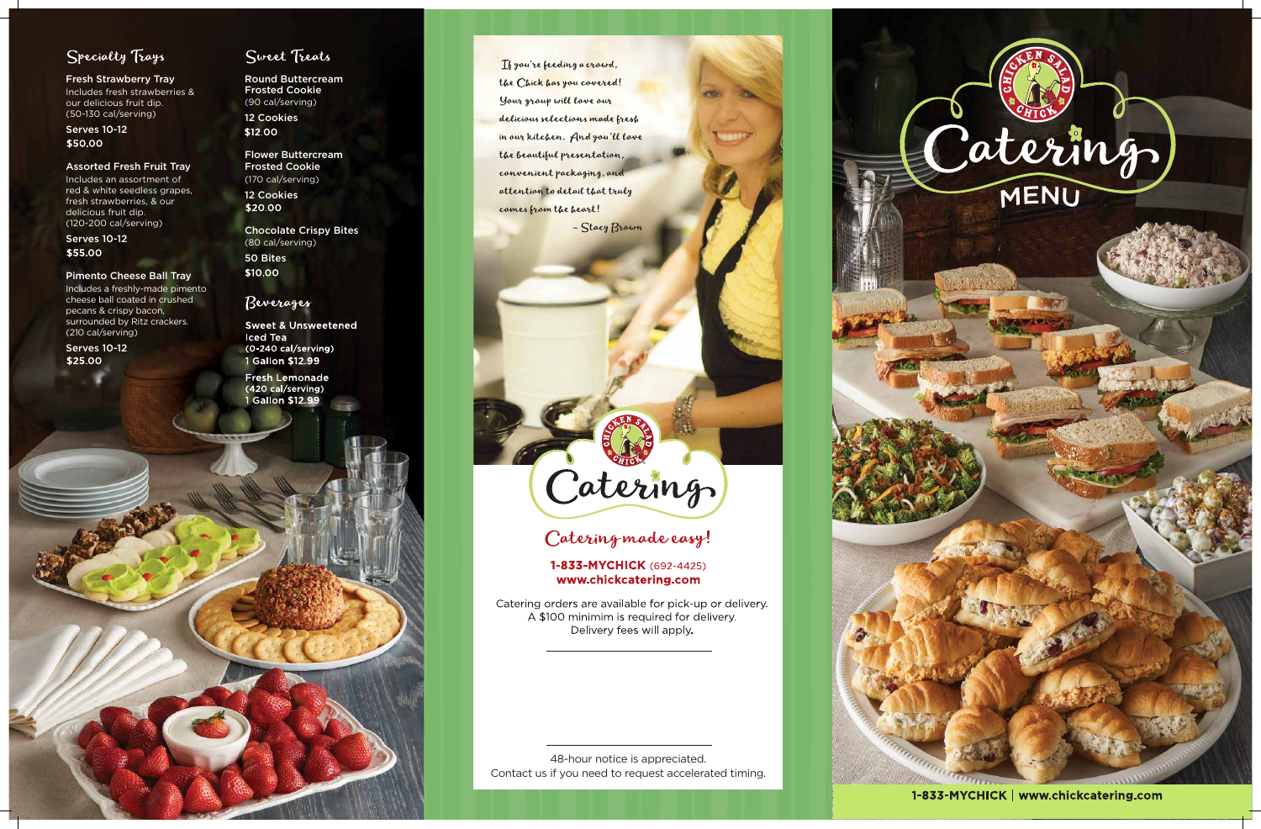

1-833-MYCHICK | www.chickcatering.com

## Specialty Trays

Serves 10-12 \$50.00

Fresh Strawberry Tray Includes fresh strawberries & our delicious fruit dip. (50-130 cal/serving)

#### Assorted Fresh Fruit Tray

Serves 10-12 \$55.00

Includes an assortment of red & white seedless grapes, fresh strawberries, & our delicious fruit dip. (120-200 cal/serving)

Serves 10-12 \$25.00

## Sweet Treats

12 Cookies \$12.00

Chocolate Crispy Bites (80 cal/serving) 50 Bites \$10.00

### Beverages

#### Pimento Cheese Ball Tray

**Sweet & Unsweetened Iced Tea** (0-240 cal/serving) 1 Gallon \$12.99

**Fresh Lemonade** (420 cal/serving) 1 Gallon \$12.99

If you're feeding a crowd, the Chick has you covered! Your group will love our delicious selections made fresh in our kitchen. And you'll love the beautiful presentation, convenient packaging, and attention to detail that truly comes from the heart!

- Stacy Brown

# Catering

## Catering made easy!

### 1-833-MYCHICK (692-4425) www.chickcatering.com

Catering orders are available for pick-up or delivery. A \$100 minimim is required for delivery. Delivery fees will apply.

Includes a freshly-made pimento cheese ball coated in crushed pecans & crispy bacon, surrounded by Ritz crackers. (210 cal/serving)

Round Buttercream Frosted Cookie (90 cal/serving)

Flower Buttercream Frosted Cookie (170 cal/serving) 12 Cookies

\$20.00

48-hour notice is appreciated. Contact us if you need to request accelerated timing.